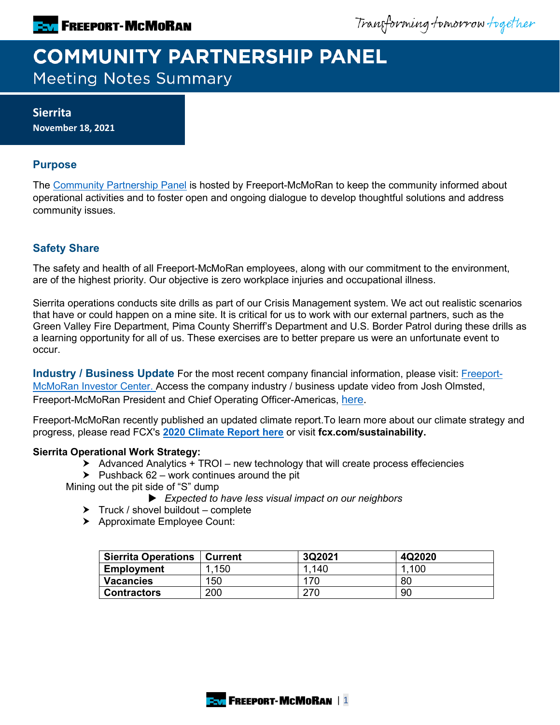Transforming tomorrow together

# **COMMUNITY PARTNERSHIP PANEL Meeting Notes Summary**

## **Sierrita**

**November 18, 2021**

## **Purpose**

The [Community Partnership Panel](https://www.freeportinmycommunity.com/stakeholders/stakeholder-engagement-) is hosted by Freeport-McMoRan to keep the community informed about operational activities and to foster open and ongoing dialogue to develop thoughtful solutions and address community issues.

## **Safety Share**

The safety and health of all Freeport-McMoRan employees, along with our commitment to the environment, are of the highest priority. Our objective is zero workplace injuries and occupational illness.

Sierrita operations conducts site drills as part of our Crisis Management system. We act out realistic scenarios that have or could happen on a mine site. It is critical for us to work with our external partners, such as the Green Valley Fire Department, Pima County Sherriff's Department and U.S. Border Patrol during these drills as a learning opportunity for all of us. These exercises are to better prepare us were an unfortunate event to occur.

**Industry / Business Update** For the most recent company financial information, please visit: [Freeport-](http://investors.fcx.com/investors/default.aspx)[McMoRan Investor Center.](http://investors.fcx.com/investors/default.aspx) Access the company industry / business update video from Josh Olmsted, Freeport-McMoRan President and Chief Operating Officer-Americas, [here.](https://youtu.be/cCXXaE3grIo)

Freeport-McMoRan recently published an updated climate report.To learn more about our climate strategy and progress, please read FCX's **[2020 Climate Report here](https://www.fcx.com/sites/fcx/files/documents/sustainability/2020-Climate-Report.pdf)** or visit **fcx.com/sustainability.**

## **Sierrita Operational Work Strategy:**

- $\triangleright$  Advanced Analytics + TROI new technology that will create process effeciencies
- $\triangleright$  Pushback 62 work continues around the pit
- Mining out the pit side of "S" dump
	- *Expected to have less visual impact on our neighbors*
	- $\triangleright$  Truck / shovel buildout complete
	- Approximate Employee Count:

| <b>Sierrita Operations</b> | <b>Current</b> | 3Q2021 | 4Q2020 |
|----------------------------|----------------|--------|--------|
| <b>Employment</b>          | .150           | 1.140  | 1,100  |
| <b>Vacancies</b>           | 150            | 170    | 80     |
| <b>Contractors</b>         | 200            |        | 90     |

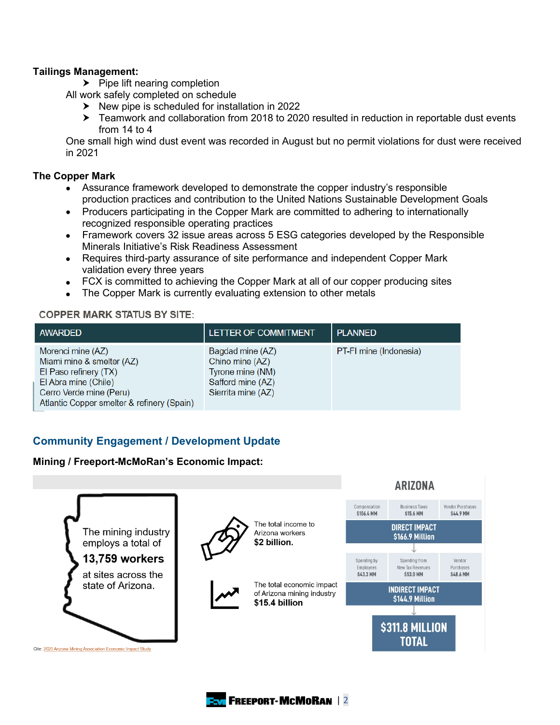### **Tailings Management:**

 $\blacktriangleright$  Pipe lift nearing completion

All work safely completed on schedule

- $\triangleright$  New pipe is scheduled for installation in 2022
- Teamwork and collaboration from 2018 to 2020 resulted in reduction in reportable dust events from 14 to 4

One small high wind dust event was recorded in August but no permit violations for dust were received in 2021

### **The Copper Mark**

- Assurance framework developed to demonstrate the copper industry's responsible production practices and contribution to the United Nations Sustainable Development Goals
- Producers participating in the Copper Mark are committed to adhering to internationally recognized responsible operating practices
- Framework covers 32 issue areas across 5 ESG categories developed by the Responsible Minerals Initiative's Risk Readiness Assessment
- Requires third-party assurance of site performance and independent Copper Mark validation every three years
- FCX is committed to achieving the Copper Mark at all of our copper producing sites
- The Copper Mark is currently evaluating extension to other metals

### **COPPER MARK STATUS BY SITE:**

| <b>AWARDED</b>                                                                                                                                                           | LETTER OF COMMITMENT                                                                               | <b>PLANNED</b>         |
|--------------------------------------------------------------------------------------------------------------------------------------------------------------------------|----------------------------------------------------------------------------------------------------|------------------------|
| Morenci mine (AZ)<br>Miami mine & smelter (AZ)<br>El Paso refinery (TX)<br>El Abra mine (Chile)<br>Cerro Verde mine (Peru)<br>Atlantic Copper smelter & refinery (Spain) | Bagdad mine (AZ)<br>Chino mine (AZ)<br>Tyrone mine (NM)<br>Safford mine (AZ)<br>Sierrita mine (AZ) | PT-FI mine (Indonesia) |

## **Community Engagement / Development Update**

#### **Mining / Freeport-McMoRan's Economic Impact:**



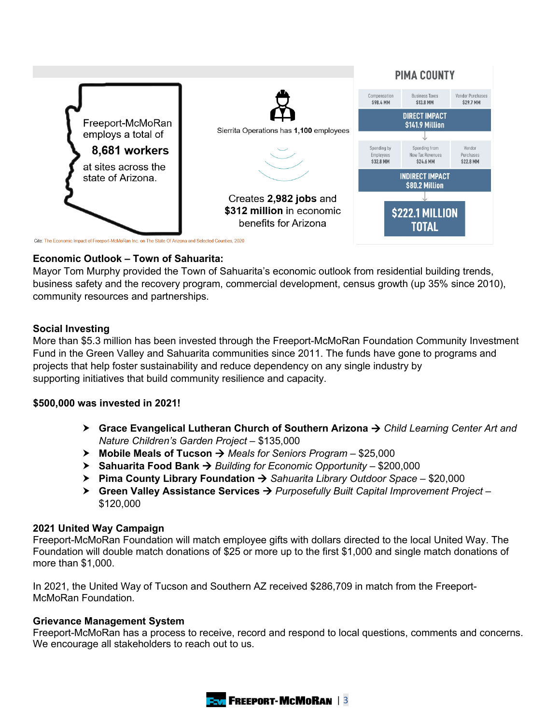

## **Economic Outlook – Town of Sahuarita:**

Mayor Tom Murphy provided the Town of Sahuarita's economic outlook from residential building trends, business safety and the recovery program, commercial development, census growth (up 35% since 2010), community resources and partnerships.

### **Social Investing**

More than \$5.3 million has been invested through the Freeport-McMoRan Foundation Community Investment Fund in the Green Valley and Sahuarita communities since 2011. The funds have gone to programs and projects that help foster sustainability and reduce dependency on any single industry by supporting initiatives that build community resilience and capacity.

## **\$500,000 was invested in 2021!**

- **Grace Evangelical Lutheran Church of Southern Arizona** *Child Learning Center Art and Nature Children's Garden Project* – \$135,000
- **EXECT** Mobile Meals of Tucson → Meals for Seniors Program \$25,000
- **▶ Sahuarita Food Bank → Building for Economic Opportunity \$200,000**
- **Pima County Library Foundation**  *Sahuarita Library Outdoor Space*  \$20,000
- **Green Valley Assistance Services**  *Purposefully Built Capital Improvement Project*  \$120,000

## **2021 United Way Campaign**

Freeport-McMoRan Foundation will match employee gifts with dollars directed to the local United Way. The Foundation will double match donations of \$25 or more up to the first \$1,000 and single match donations of more than \$1,000.

In 2021, the United Way of Tucson and Southern AZ received \$286,709 in match from the Freeport-McMoRan Foundation.

## **Grievance Management System**

Freeport-McMoRan has a process to receive, record and respond to local questions, comments and concerns. We encourage all stakeholders to reach out to us.